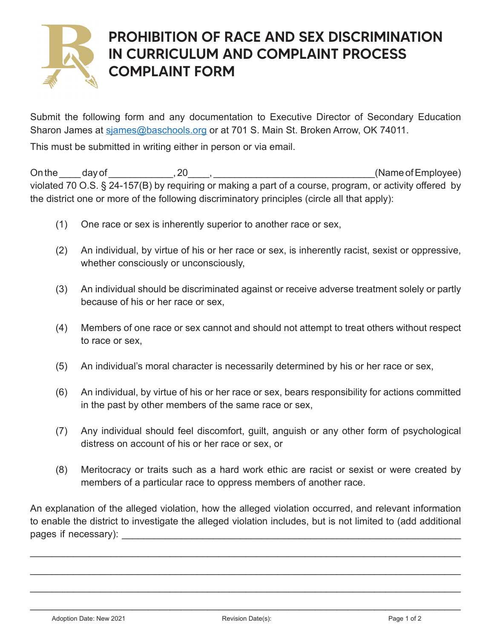

## PROHIBITION OF RACE AND SEX DISCRIMINATION IN CURRICULUM AND COMPLAINT PROCESS COMPLAINT FORM

Submit the following form and any documentation to Executive Director of Secondary Education Sharon James at [sjames@baschools.org o](mailto:sjames%40baschools.org?subject=)r at 701 S. Main St. Broken Arrow, OK 74011.

This must be submitted in writing either in person or via email.

On the day of 20, 20, the day of  $\Box$ violated 70 O.S. § 24-157(B) by requiring or making a part of a course, program, or activity offered by the district one or more of the following discriminatory principles (circle all that apply):

- (1) One race or sex is inherently superior to another race or sex,
- (2) An individual, by virtue of his or her race or sex, is inherently racist, sexist or oppressive, whether consciously or unconsciously,
- (3) An individual should be discriminated against or receive adverse treatment solely or partly because of his or her race or sex,
- (4) Members of one race or sex cannot and should not attempt to treat others without respect to race or sex,
- (5) An individual's moral character is necessarily determined by his or her race or sex,
- (6) An individual, by virtue of his or her race or sex, bears responsibility for actions committed in the past by other members of the same race or sex,
- (7) Any individual should feel discomfort, guilt, anguish or any other form of psychological distress on account of his or her race or sex, or
- (8) Meritocracy or traits such as a hard work ethic are racist or sexist or were created by members of a particular race to oppress members of another race.

An explanation of the alleged violation, how the alleged violation occurred, and relevant information to enable the district to investigate the alleged violation includes, but is not limited to (add additional  $paqes$  if necessary):

\_\_\_\_\_\_\_\_\_\_\_\_\_\_\_\_\_\_\_\_\_\_\_\_\_\_\_\_\_\_\_\_\_\_\_\_\_\_\_\_\_\_\_\_\_\_\_\_\_\_\_\_\_\_\_\_\_\_\_\_\_\_\_\_\_\_\_\_\_\_\_\_\_\_\_\_\_\_\_\_

\_\_\_\_\_\_\_\_\_\_\_\_\_\_\_\_\_\_\_\_\_\_\_\_\_\_\_\_\_\_\_\_\_\_\_\_\_\_\_\_\_\_\_\_\_\_\_\_\_\_\_\_\_\_\_\_\_\_\_\_\_\_\_\_\_\_\_\_\_\_\_\_\_\_\_\_\_\_\_\_

\_\_\_\_\_\_\_\_\_\_\_\_\_\_\_\_\_\_\_\_\_\_\_\_\_\_\_\_\_\_\_\_\_\_\_\_\_\_\_\_\_\_\_\_\_\_\_\_\_\_\_\_\_\_\_\_\_\_\_\_\_\_\_\_\_\_\_\_\_\_\_\_\_\_\_\_\_\_\_\_